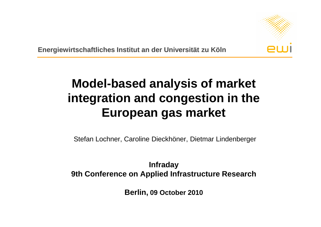

**Energiewirtschaftliches Institut an der Universität zu Köln**

# **Model-based analysis of market integration and congestion in the European gas market**

Stefan Lochner, Caroline Dieckhöner, Dietmar Lindenberger

**Infraday9th Conference on Applied Infrastructure Research**

**Berlin, 09 October 2010**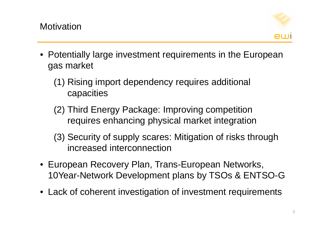

- Potentially large investment requirements in the European gas market
	- (1) Rising import dependency requires additional capacities
	- (2) Third Energy Package: Improving competition requires enhancing physical market integration
	- (3) Security of supply scares: Mitigation of risks through increased interconnection
- European Recovery Plan, Trans-European Networks, 10Year-Network Development plans by TSOs & ENTSO-G
- Lack of coherent investigation of investment requirements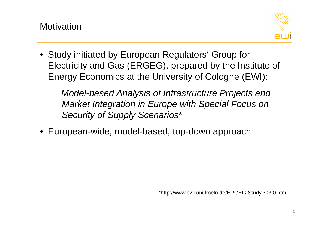

• Study initiated by European Regulators' Group for Electricity and Gas (ERGEG), prepared by the Institute ofEnergy Economics at the University of Cologne (EWI):

Model-based Analysis of Infrastructure Projects and Market Integration in Europe with Special Focus on Security of Supply Scenarios\*

•European-wide, model-based, top-down approach

\*http://www.ewi.uni-koeln.de/ERGEG-Study.303.0.html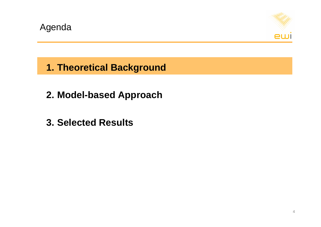

**1. Theoretical Background**

- **2. Model-based Approach**
- **3. Selected Results**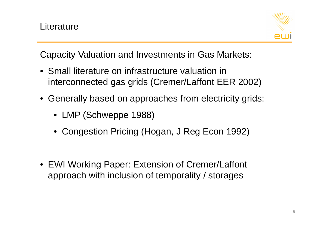

#### Capacity Valuation and Investments in Gas Markets:

- Small literature on infrastructure valuation in interconnected gas grids (Cremer/Laffont EER 2002)
- Generally based on approaches from electricity grids:
	- LMP (Schweppe 1988)
	- Congestion Pricing (Hogan, J Reg Econ 1992)
- EWI Working Paper: Extension of Cremer/Laffont approach with inclusion of temporality / storages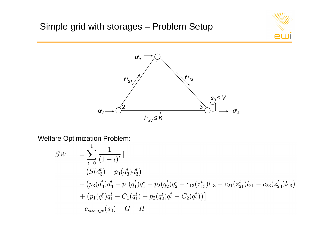



Welfare Optimization Problem:

$$
SW = \sum_{t=0}^{1} \frac{1}{(1+i)^t} \left[ \begin{array}{c} \n+ \left( S(d_3^t) - p_3(d_3^t) d_3^t \right) \\
+ \left( S(d_3^t) - p_1(d_3^t) d_3^t \right) \\
+ \left( p_3(d_3^t) d_3^t - p_1(q_1^t) q_1^t - p_2(q_2^t) q_2^t - c_{13}(z_{13}^t) l_{13} - c_{21}(z_{21}^t) l_{21} - c_{23}(z_{23}^t) l_{23} \right) \\
+ \left( p_1(q_1^t) q_1^t - C_1(q_1^t) + p_2(q_2^t) q_2^t - C_2(q_2^t) \right) \right] \\
-c_{storage}(s_3) - G - H
$$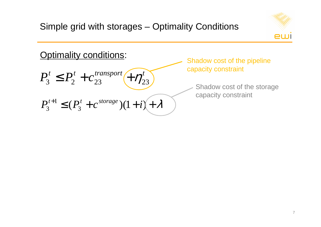

#### Optimality conditions:

$$
P_3^t \le P_2^t + c_{23}^{transport} \left(\frac{m_2}{m_3}\right)
$$
  

$$
P_3^{t+1} \le (P_3^t + c^{storage})(1+i) + \lambda
$$

Shadow cost of the pipeline capacity constraint

Shadow cost of the storage capacity constraint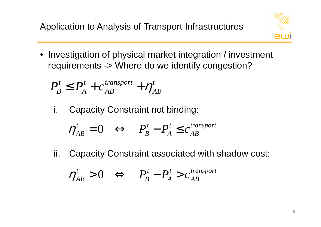

 $\bullet$  Investigation of physical market integration / investment requirements -> Where do we identify congestion?

$$
P_B^t \leq P_A^t + c_{AB}^{transport} + \eta_{AB}^t
$$

i.Capacity Constraint not binding:

$$
\eta_{AB}^t = 0 \quad \Longleftrightarrow \quad P_B^t - P_A^t \leq c_{AB}^{transport}
$$

ii. Capacity Constraint associated with shadow cost:

$$
\eta_{AB}^t > 0 \quad \Longleftrightarrow \quad P_B^t - P_A^t > c_{AB}^{transport}
$$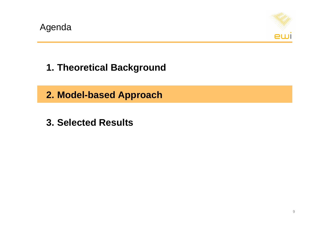

**1. Theoretical Background**

**2. Model-based Approach**

**3. Selected Results**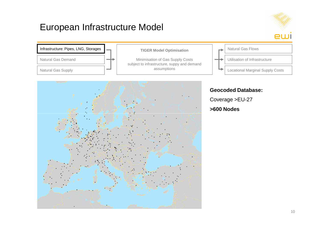

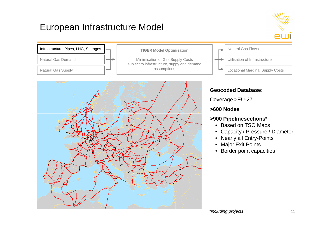

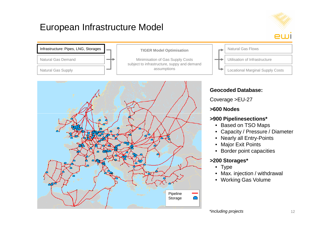

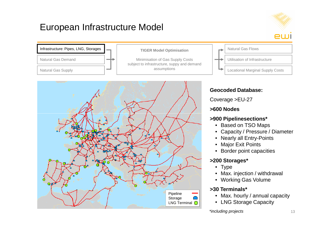

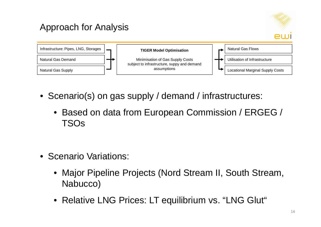





- Scenario(s) on gas supply / demand / infrastructures:
	- Based on data from European Commission / ERGEG / TSOs

- Scenario Variations:
	- Major Pipeline Projects (Nord Stream II, South Stream, Nabucco)
	- Relative LNG Prices: LT equilibrium vs. "LNG Glut"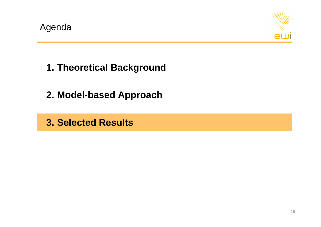

**1. Theoretical Background**

**2. Model-based Approach**

**3. Selected Results**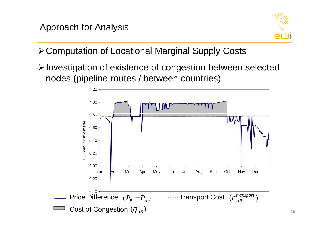Approach for Analysis



Computation of Locational Marginal Supply Costs

 $\triangleright$  Investigation of existence of congestion between selected nodes (pipeline routes / between countries)

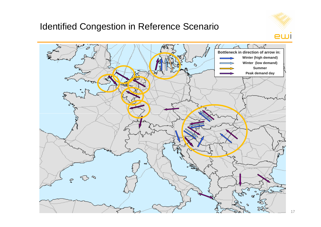#### Identified Congestion in Reference Scenario



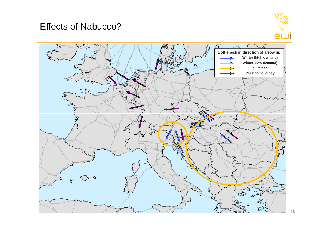#### Effects of Nabucco?



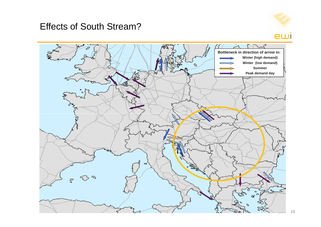Effects of South Stream?



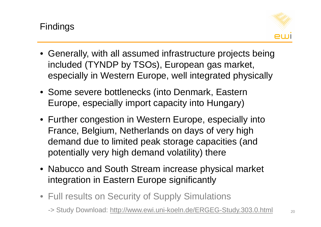



- Generally, with all assumed infrastructure projects being included (TYNDP by TSOs), European gas market, especially in Western Europe, well integrated physically
- Some severe bottlenecks (into Denmark, Eastern Europe, especially import capacity into Hungary)
- Further congestion in Western Europe, especially into France, Belgium, Netherlands on days of very high demand due to limited peak storage capacities (and potentially very high demand volatility) there
- Nabucco and South Stream increase physical market integration in Eastern Europe significantly
- Full results on Security of Supply Simulations
	- -> Study Download: http://www.ewi.uni-koeln.de/ERGEG-Study.303.0.html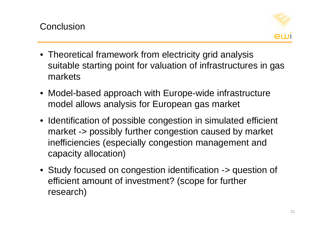

- Theoretical framework from electricity grid analysis suitable starting point for valuation of infrastructures in gas markets
- Model-based approach with Europe-wide infrastructure model allows analysis for European gas market
- Identification of possible congestion in simulated efficient market -> possibly further congestion caused by market inefficiencies (especially congestion management and capacity allocation)
- Study focused on congestion identification -> question of efficient amount of investment? (scope for further research)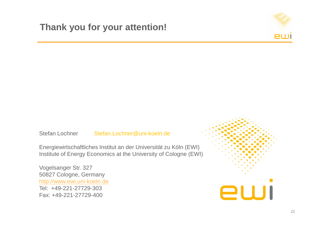

#### Stefan Lochner Stefan.Lochner@uni-koeln.de

Energiewirtschaftliches Institut an der Universität zu Köln (EWI)Institute of Energy Economics at the University of Cologne (EWI)

Vogelsanger Str. 327 50827 Cologne, Germany http://www.ewi.uni-koeln.deTel: +49-221-27729-303Fax: +49-221-27729-400